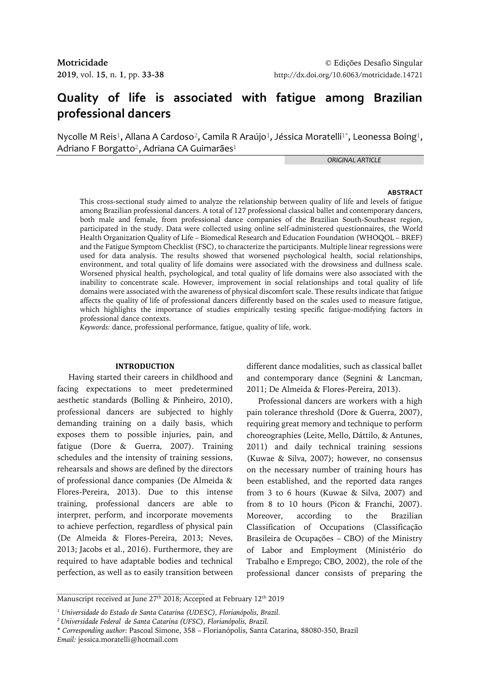# **Quality of life is associated with fatigue among Brazilian professional dancers**

Nycolle M Reis $^1$ , Allana A Cardoso $^2$ , Camila R Araújo $^1$ , Jéssica Moratelli $^1^\ast$ , Leonessa Boing $^1$ , Adriano F Borgatto<sup>2</sup>, Adriana CA Guimarães<sup>1</sup>

*ORIGINAL ARTICLE*

#### **ABSTRACT**

This cross-sectional study aimed to analyze the relationship between quality of life and levels of fatigue among Brazilian professional dancers. A total of 127 professional classical ballet and contemporary dancers, both male and female, from professional dance companies of the Brazilian South-Southeast region, participated in the study. Data were collected using online self-administered questionnaires, the World Health Organization Quality of Life – Biomedical Research and Education Foundation (WHOQOL – BREF) and the Fatigue Symptom Checklist (FSC), to characterize the participants. Multiple linear regressions were used for data analysis. The results showed that worsened psychological health, social relationships, environment, and total quality of life domains were associated with the drowsiness and dullness scale. Worsened physical health, psychological, and total quality of life domains were also associated with the inability to concentrate scale. However, improvement in social relationships and total quality of life domains were associated with the awareness of physical discomfort scale. These results indicate that fatigue affects the quality of life of professional dancers differently based on the scales used to measure fatigue, which highlights the importance of studies empirically testing specific fatigue-modifying factors in professional dance contexts.

*Keywords:* dance, professional performance, fatigue, quality of life, work.

## **INTRODUCTION**

Having started their careers in childhood and facing expectations to meet predetermined aesthetic standards (Bolling & Pinheiro, 2010), professional dancers are subjected to highly demanding training on a daily basis, which exposes them to possible injuries, pain, and fatigue (Dore & Guerra, 2007). Training schedules and the intensity of training sessions, rehearsals and shows are defined by the directors of professional dance companies (De Almeida & Flores-Pereira, 2013). Due to this intense training, professional dancers are able to interpret, perform, and incorporate movements to achieve perfection, regardless of physical pain (De Almeida & Flores-Pereira, 2013; Neves, 2013; Jacobs et al., 2016). Furthermore, they are required to have adaptable bodies and technical perfection, as well as to easily transition between different dance modalities, such as classical ballet and contemporary dance (Segnini & Lancman, 2011; De Almeida & Flores-Pereira, 2013).

Professional dancers are workers with a high pain tolerance threshold (Dore & Guerra, 2007), requiring great memory and technique to perform choreographies (Leite, Mello, Dáttilo, & Antunes, 2011) and daily technical training sessions (Kuwae & Silva, 2007); however, no consensus on the necessary number of training hours has been established, and the reported data ranges from 3 to 6 hours (Kuwae & Silva, 2007) and from 8 to 10 hours (Picon & Franchi, 2007). Moreover, according to the Brazilian Classification of Occupations (Classificação Brasileira de Ocupações – CBO) of the Ministry of Labor and Employment (Ministério do Trabalho e Emprego; CBO, 2002), the role of the professional dancer consists of preparing the

Manuscript received at June 27<sup>th</sup> 2018; Accepted at February 12<sup>th</sup> 2019

<sup>1</sup> *Universidade do Estado de Santa Catarina (UDESC), Florianópolis, Brazil.* 

*<sup>2</sup>Universidade Federal de Santa Catarina (UFSC), Florianópolis, Brazil.*

<sup>\*</sup> *Corresponding author*: Pascoal Simone, 358 – Florianópolis, Santa Catarina, 88080-350, Brazil *Email:* jessica.moratelli@hotmail.com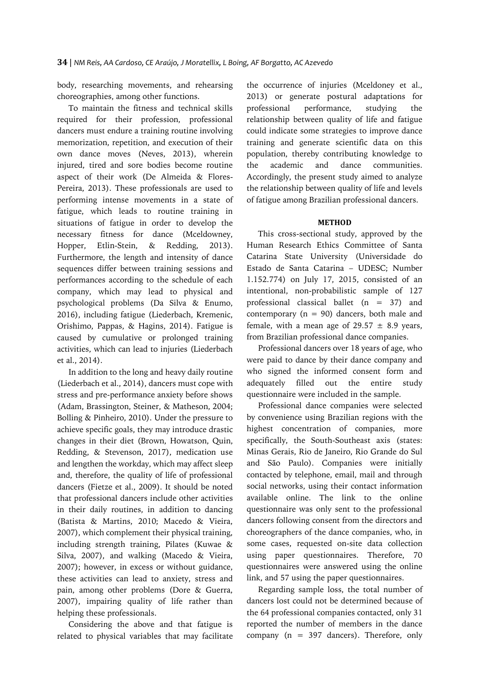body, researching movements, and rehearsing choreographies, among other functions.

To maintain the fitness and technical skills required for their profession, professional dancers must endure a training routine involving memorization, repetition, and execution of their own dance moves (Neves, 2013), wherein injured, tired and sore bodies become routine aspect of their work (De Almeida & Flores-Pereira, 2013). These professionals are used to performing intense movements in a state of fatigue, which leads to routine training in situations of fatigue in order to develop the necessary fitness for dance (Mceldowney, Hopper, Etlin-Stein, & Redding, 2013). Furthermore, the length and intensity of dance sequences differ between training sessions and performances according to the schedule of each company, which may lead to physical and psychological problems (Da Silva & Enumo, 2016), including fatigue (Liederbach, Kremenic, Orishimo, Pappas, & Hagins, 2014). Fatigue is caused by cumulative or prolonged training activities, which can lead to injuries (Liederbach et al., 2014).

In addition to the long and heavy daily routine (Liederbach et al., 2014), dancers must cope with stress and pre-performance anxiety before shows (Adam, Brassington, Steiner, & Matheson, 2004; Bolling & Pinheiro, 2010). Under the pressure to achieve specific goals, they may introduce drastic changes in their diet (Brown, Howatson, Quin, Redding, & Stevenson, 2017), medication use and lengthen the workday, which may affect sleep and, therefore, the quality of life of professional dancers (Fietze et al., 2009). It should be noted that professional dancers include other activities in their daily routines, in addition to dancing (Batista & Martins, 2010; Macedo & Vieira, 2007), which complement their physical training, including strength training, Pilates (Kuwae & Silva, 2007), and walking (Macedo & Vieira, 2007); however, in excess or without guidance, these activities can lead to anxiety, stress and pain, among other problems (Dore & Guerra, 2007), impairing quality of life rather than helping these professionals.

Considering the above and that fatigue is related to physical variables that may facilitate the occurrence of injuries (Mceldoney et al., 2013) or generate postural adaptations for professional performance, studying the relationship between quality of life and fatigue could indicate some strategies to improve dance training and generate scientific data on this population, thereby contributing knowledge to the academic and dance communities. Accordingly, the present study aimed to analyze the relationship between quality of life and levels of fatigue among Brazilian professional dancers.

## **METHOD**

This cross-sectional study, approved by the Human Research Ethics Committee of Santa Catarina State University (Universidade do Estado de Santa Catarina – UDESC; Number 1.152.774) on July 17, 2015, consisted of an intentional, non-probabilistic sample of 127 professional classical ballet (n = 37) and contemporary ( $n = 90$ ) dancers, both male and female, with a mean age of  $29.57 \pm 8.9$  years, from Brazilian professional dance companies.

Professional dancers over 18 years of age, who were paid to dance by their dance company and who signed the informed consent form and adequately filled out the entire study questionnaire were included in the sample.

Professional dance companies were selected by convenience using Brazilian regions with the highest concentration of companies, more specifically, the South-Southeast axis (states: Minas Gerais, Rio de Janeiro, Rio Grande do Sul and São Paulo). Companies were initially contacted by telephone, email, mail and through social networks, using their contact information available online. The link to the online questionnaire was only sent to the professional dancers following consent from the directors and choreographers of the dance companies, who, in some cases, requested on-site data collection using paper questionnaires. Therefore, 70 questionnaires were answered using the online link, and 57 using the paper questionnaires.

Regarding sample loss, the total number of dancers lost could not be determined because of the 64 professional companies contacted, only 31 reported the number of members in the dance company ( $n = 397$  dancers). Therefore, only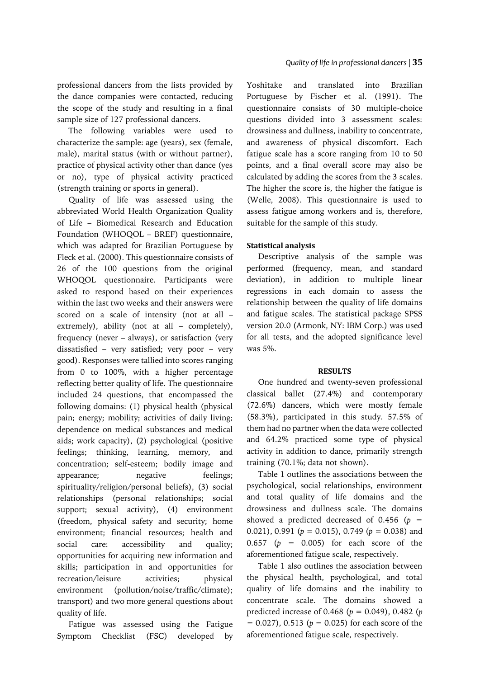The following variables were used to characterize the sample: age (years), sex (female, male), marital status (with or without partner), practice of physical activity other than dance (yes or no), type of physical activity practiced (strength training or sports in general).

Quality of life was assessed using the abbreviated World Health Organization Quality of Life – Biomedical Research and Education Foundation (WHOQOL – BREF) questionnaire, which was adapted for Brazilian Portuguese by Fleck et al. (2000). This questionnaire consists of 26 of the 100 questions from the original WHOQOL questionnaire. Participants were asked to respond based on their experiences within the last two weeks and their answers were scored on a scale of intensity (not at all – extremely), ability (not at all – completely), frequency (never – always), or satisfaction (very dissatisfied – very satisfied; very poor – very good). Responses were tallied into scores ranging from 0 to 100%, with a higher percentage reflecting better quality of life. The questionnaire included 24 questions, that encompassed the following domains: (1) physical health (physical pain; energy; mobility; activities of daily living; dependence on medical substances and medical aids; work capacity), (2) psychological (positive feelings; thinking, learning, memory, and concentration; self-esteem; bodily image and appearance; megative feelings; spirituality/religion/personal beliefs), (3) social relationships (personal relationships; social support; sexual activity), (4) environment (freedom, physical safety and security; home environment; financial resources; health and social care: accessibility and quality; opportunities for acquiring new information and skills; participation in and opportunities for recreation/leisure activities; physical environment (pollution/noise/traffic/climate); transport) and two more general questions about quality of life.

Fatigue was assessed using the Fatigue Symptom Checklist (FSC) developed by Yoshitake and translated into Brazilian Portuguese by Fischer et al. (1991). The questionnaire consists of 30 multiple-choice questions divided into 3 assessment scales: drowsiness and dullness, inability to concentrate, and awareness of physical discomfort. Each fatigue scale has a score ranging from 10 to 50 points, and a final overall score may also be calculated by adding the scores from the 3 scales. The higher the score is, the higher the fatigue is (Welle, 2008). This questionnaire is used to assess fatigue among workers and is, therefore, suitable for the sample of this study.

# **Statistical analysis**

Descriptive analysis of the sample was performed (frequency, mean, and standard deviation), in addition to multiple linear regressions in each domain to assess the relationship between the quality of life domains and fatigue scales. The statistical package SPSS version 20.0 (Armonk, NY: IBM Corp.) was used for all tests, and the adopted significance level was 5%.

## **RESULTS**

One hundred and twenty-seven professional classical ballet (27.4%) and contemporary (72.6%) dancers, which were mostly female (58.3%), participated in this study. 57.5% of them had no partner when the data were collected and 64.2% practiced some type of physical activity in addition to dance, primarily strength training (70.1%; data not shown).

Table 1 outlines the associations between the psychological, social relationships, environment and total quality of life domains and the drowsiness and dullness scale. The domains showed a predicted decreased of  $0.456$  ( $p =$ 0.021), 0.991 (*p* = 0.015), 0.749 (*p* = 0.038) and 0.657 (*p* = 0.005) for each score of the aforementioned fatigue scale, respectively.

Table 1 also outlines the association between the physical health, psychological, and total quality of life domains and the inability to concentrate scale. The domains showed a predicted increase of 0.468 (*p* = 0.049), 0.482 (*p*  $= 0.027$ ), 0.513 ( $p = 0.025$ ) for each score of the aforementioned fatigue scale, respectively.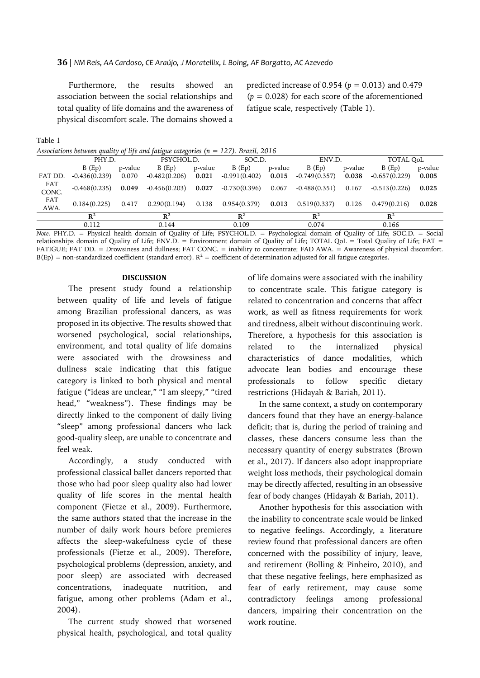Furthermore, the results showed an association between the social relationships and total quality of life domains and the awareness of physical discomfort scale. The domains showed a predicted increase of 0.954 (*p* = 0.013) and 0.479  $(p = 0.028)$  for each score of the aforementioned fatigue scale, respectively (Table 1).

*Associations between quality of life and fatigue categories (n = 127). Brazil, 2016*

|              | PHY.D.          |         | PSYCHOL.D.      |         | SOC.D.          |         | ENV.D.          |         | TOTAL QoL       |         |
|--------------|-----------------|---------|-----------------|---------|-----------------|---------|-----------------|---------|-----------------|---------|
|              | B(Ep)           | p-value | $B$ (Ep)        | p-value | B(Ep)           | p-value | B(Ep)           | p-value | B(Ep)           | p-value |
| FAT DD.      | $-0.436(0.239)$ | 0.070   | $-0.482(0.206)$ | 0.021   | $-0.991(0.402)$ | 0.015   | $-0.749(0.357)$ | 0.038   | $-0.657(0.229)$ | 0.005   |
| FAT<br>CONC. | $-0.468(0.235)$ | 0.049   | $-0.456(0.203)$ | 0.027   | -0.730(0.396)   | 0.067   | $-0.488(0.351)$ | 0.167   | $-0.513(0.226)$ | 0.025   |
| FAT<br>AWA.  | 0.184(0.225)    | 0.417   | 0.290(0.194)    | 0.138   | 0.954(0.379)    | 0.013   | 0.519(0.337)    | 0.126   | 0.479(0.216)    | 0.028   |
|              | $\mathbb{R}^2$  |         | $R^2$           |         | $\mathbb{R}^2$  |         | $\mathbb{R}^2$  |         | $\mathbb{R}^2$  |         |
|              | 0.112           |         | 0.144           |         | 0.109           |         | 0.074           |         | 0.166           |         |
|              |                 |         |                 |         |                 |         |                 |         |                 |         |

*Note.* PHY.D. = Physical health domain of Quality of Life; PSYCHOL.D. = Psychological domain of Quality of Life; SOC.D. = Social relationships domain of Quality of Life; ENV.D. = Environment domain of Quality of Life; TOTAL QoL = Total Quality of Life; FAT = FATIGUE; FAT DD. = Drowsiness and dullness; FAT CONC. = inability to concentrate; FAD AWA. = Awareness of physical discomfort.  $B(Ep)$  = non-standardized coefficient (standard error).  $R^2$  = coefficient of determination adjusted for all fatigue categories.

## **DISCUSSION**

The present study found a relationship between quality of life and levels of fatigue among Brazilian professional dancers, as was proposed in its objective. The results showed that worsened psychological, social relationships, environment, and total quality of life domains were associated with the drowsiness and dullness scale indicating that this fatigue category is linked to both physical and mental fatigue ("ideas are unclear," "I am sleepy," "tired head," "weakness"). These findings may be directly linked to the component of daily living "sleep" among professional dancers who lack good-quality sleep, are unable to concentrate and feel weak.

Accordingly, a study conducted with professional classical ballet dancers reported that those who had poor sleep quality also had lower quality of life scores in the mental health component (Fietze et al., 2009). Furthermore, the same authors stated that the increase in the number of daily work hours before premieres affects the sleep-wakefulness cycle of these professionals (Fietze et al., 2009). Therefore, psychological problems (depression, anxiety, and poor sleep) are associated with decreased concentrations, inadequate nutrition, and fatigue, among other problems (Adam et al., 2004).

The current study showed that worsened physical health, psychological, and total quality of life domains were associated with the inability to concentrate scale. This fatigue category is related to concentration and concerns that affect work, as well as fitness requirements for work and tiredness, albeit without discontinuing work. Therefore, a hypothesis for this association is related to the internalized physical characteristics of dance modalities, which advocate lean bodies and encourage these professionals to follow specific dietary restrictions (Hidayah & Bariah, 2011).

In the same context, a study on contemporary dancers found that they have an energy-balance deficit; that is, during the period of training and classes, these dancers consume less than the necessary quantity of energy substrates (Brown et al., 2017). If dancers also adopt inappropriate weight loss methods, their psychological domain may be directly affected, resulting in an obsessive fear of body changes (Hidayah & Bariah, 2011).

Another hypothesis for this association with the inability to concentrate scale would be linked to negative feelings. Accordingly, a literature review found that professional dancers are often concerned with the possibility of injury, leave, and retirement (Bolling & Pinheiro, 2010), and that these negative feelings, here emphasized as fear of early retirement, may cause some contradictory feelings among professional dancers, impairing their concentration on the work routine.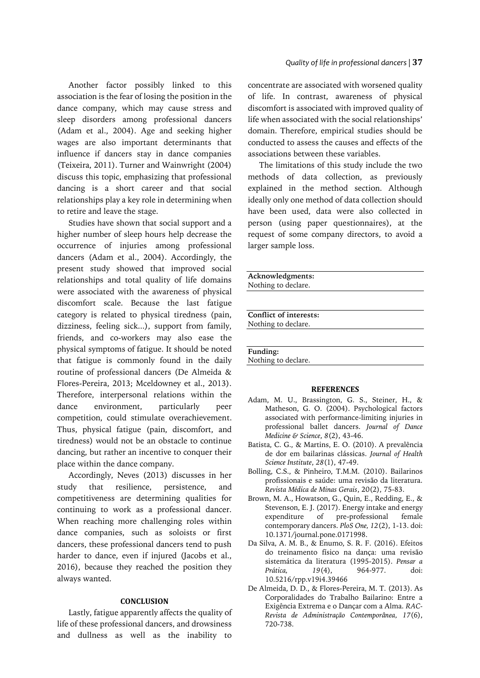Another factor possibly linked to this association is the fear of losing the position in the dance company, which may cause stress and sleep disorders among professional dancers (Adam et al., 2004). Age and seeking higher wages are also important determinants that influence if dancers stay in dance companies (Teixeira, 2011). Turner and Wainwright (2004) discuss this topic, emphasizing that professional dancing is a short career and that social relationships play a key role in determining when to retire and leave the stage.

Studies have shown that social support and a higher number of sleep hours help decrease the occurrence of injuries among professional dancers (Adam et al., 2004). Accordingly, the present study showed that improved social relationships and total quality of life domains were associated with the awareness of physical discomfort scale. Because the last fatigue category is related to physical tiredness (pain, dizziness, feeling sick...), support from family, friends, and co-workers may also ease the physical symptoms of fatigue. It should be noted that fatigue is commonly found in the daily routine of professional dancers (De Almeida & Flores-Pereira, 2013; Mceldowney et al., 2013). Therefore, interpersonal relations within the dance environment, particularly peer competition, could stimulate overachievement. Thus, physical fatigue (pain, discomfort, and tiredness) would not be an obstacle to continue dancing, but rather an incentive to conquer their place within the dance company.

Accordingly, Neves (2013) discusses in her study that resilience, persistence, and competitiveness are determining qualities for continuing to work as a professional dancer. When reaching more challenging roles within dance companies, such as soloists or first dancers, these professional dancers tend to push harder to dance, even if injured (Jacobs et al., 2016), because they reached the position they always wanted.

## **CONCLUSION**

Lastly, fatigue apparently affects the quality of life of these professional dancers, and drowsiness and dullness as well as the inability to

concentrate are associated with worsened quality of life. In contrast, awareness of physical discomfort is associated with improved quality of life when associated with the social relationships' domain. Therefore, empirical studies should be conducted to assess the causes and effects of the associations between these variables.

The limitations of this study include the two methods of data collection, as previously explained in the method section. Although ideally only one method of data collection should have been used, data were also collected in person (using paper questionnaires), at the request of some company directors, to avoid a larger sample loss.

**Acknowledgments:** Nothing to declare. **Conflict of interests:** Nothing to declare. **Funding:** Nothing to declare.

#### **REFERENCES**

- Adam, M. U., Brassington, G. S., Steiner, H., & Matheson, G. O. (2004). Psychological factors associated with performance-limiting injuries in professional ballet dancers. *Journal of Dance Medicine & Science*, *8*(2), 43-46.
- Batista, C. G., & Martins, E. O. (2010). A prevalência de dor em bailarinas clássicas. *Journal of Health Science Institute*, *28*(1), 47-49.
- Bolling, C.S., & Pinheiro, T.M.M. (2010). Bailarinos profissionais e saúde: uma revisão da literatura. *Revista Médica de Minas Gerais*, 20(2), 75-83.
- Brown, M. A., Howatson, G., Quin, E., Redding, E., & Stevenson, E. J. (2017). Energy intake and energy expenditure of pre-professional female contemporary dancers. *PloS One, 12*(2), 1-13. doi: 10.1371/journal.pone.0171998.
- Da Silva, A. M. B., & Enumo, S. R. F. (2016). Efeitos do treinamento físico na dança: uma revisão sistemática da literatura (1995-2015). *Pensar a Prática, 19*(4), 964-977. doi: 10.5216/rpp.v19i4.39466
- De Almeida, D. D., & Flores-Pereira, M. T. (2013). As Corporalidades do Trabalho Bailarino: Entre a Exigência Extrema e o Dançar com a Alma. *RAC-Revista de Administração Contemporânea, 17*(6), 720-738.